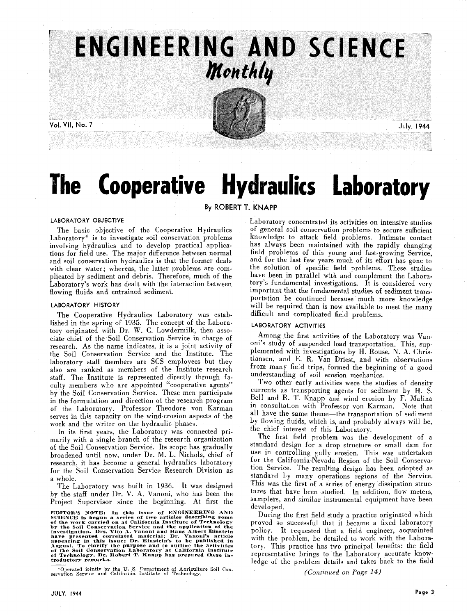

Vol. VII, No. 7

July, 1944

# **The Cooperative Hydraulics Laboratory**

## **By ROBERT T. KNAPP**

### LABORATORY OBJECTIVE

The basic objective of the Cooperative Hydraulics Laboratory\* is to investigate soil conservation problems involving hydraulics and to develop practical applications for field use. The major difference between normal and soil conservation hydraulics is that the former deals with clear water; whereas, the latter problems are complicated by sediment and debris. Therefore, much of the Laboratory's work has dealt with the interaction between flowing fluids and entrained sediment.

#### LABORATORY HISTORY

The Cooperative Hydraulics Laboratory was established in the spring of 1935. The concept of the Laboratory originated with Dr. W. C. Lowdermilk, then associate chief of the Soil Conservation Service in charge of research. As the name indicates. it is a joint activity of the Soil Conservation Service and the Institute. The laboratory staff members are SCS employees but they also are ranked as members of the Institute research staff. The Institute is represented directly through faulty members who are appointed "cooperative agents" by the Soil Conservation Service. These men participate in the formulation and direction of the research program of the Laboratory. Professor Theodore von Karman serves in this capacity on the wind-erosion aspects of the work and the writer on the hydraulic phases.

In its first years, the Laboratory was connected primarily with a single branch of the research organization of the Soil Conservation Service. Its scope has gradually broadened until now, under Dr. M. L. Nichols, chief of research. it has become a general hydraulics laboratory for the Soil Conservation Service Research Division as a whole.

The Laboratory was built in 1936. It was designed by the staff under Dr. V. A. Vanoni, who has been the Project Supervisor since the beginning. At first the

**EDITOR'S NOTE: 111 this issue of ENGINEERING AND SCIENCE is begun a series of two articles çlescribin some of the work carried on at California Institute of Tet\*hnolog>**  by the Soil Conservation Service and the application of the<br>investigation. Drs. Vito A. Vanoni and Hans Albert Einstein<br>have presented correlated material; Dr. Vanoul's article<br>have presented correlated material; Dr. Vanou

Operated jointly by the U. S. Department of Agriculture Soil Con- servation Service and California Institute of Technology.

Laboratory concentrated its activities on intensive studies of general soil conservation problems to secure sufficient knowledge to attack field problems. Intimate contact has always been maintained with the rapidly changing field problems of this young and fast-growing Service, and for the last few years much of its effort has gone to the solution of specific field problems. These studies have been in parallel with and complement the Laboratory's fundamental investigations. It is considered very important that the fundamental studies of sediment transportation be continued because much more knowledge will be required than is now available to meet the many difficult and complicated field problems.

#### LABORATORY ACTIVITIES

Among the first activities of the Laboratory was Vanoni's study of suspended load transportation. This, supplemented with investigations by H. Rouse, N. A. Christiansen, and E. R. Van Driest, and with observations from many field trips, formed the beginning of a good understanding of soil erosion mechanics.

Two other early activities were the studies of density currents as transporting agents for sediment by H. S. Bell and R. T. Knapp and wind erosion by F. Malina in consultation with Professor von Karman. Note that all have the same theme-the transportation of sediment by flowing fluids, which is; and probably always will be, the chief interest of this Laboratory.

The first field problem was the development of a standard design for a drop structure or small dam for use in controlling gully erosion. This was undertaken for the California-Nevada Region of the Soil Conservation Service. The resulting design has been adopted as standard by many operations regions of the Service. This was the first of a series of energy dissipation structures that have been studied. In addition, flow meters, samplers, and similar instrumental equipment have been developed.

During the first field study a practice originated which proved so successful that it became a fixed laboratory policy. It requested that a field engineer, acquainted with the problem. be detailed to work with the Laboratory. This practice has two principal benefits: the field representative brings to the Laboratory accurate knowledge of the problem details and takes back to the field

(Continued on *Page* 14)